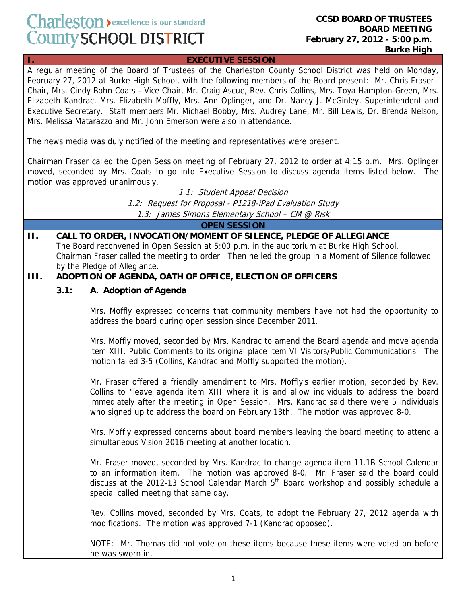## Charleston > excellence is our standard County SCHOOL DISTRICT

## **CCSD BOARD OF TRUSTEES BOARD MEETING February 27, 2012 - 5:00 p.m. Burke High**

## **EXECUTIVE SESSION**

A regular meeting of the Board of Trustees of the Charleston County School District was held on Monday, February 27, 2012 at Burke High School, with the following members of the Board present: Mr. Chris Fraser– Chair, Mrs. Cindy Bohn Coats - Vice Chair, Mr. Craig Ascue, Rev. Chris Collins, Mrs. Toya Hampton-Green, Mrs. Elizabeth Kandrac, Mrs. Elizabeth Moffly, Mrs. Ann Oplinger, and Dr. Nancy J. McGinley, Superintendent and Executive Secretary. Staff members Mr. Michael Bobby, Mrs. Audrey Lane, Mr. Bill Lewis, Dr. Brenda Nelson, Mrs. Melissa Matarazzo and Mr. John Emerson were also in attendance.

The news media was duly notified of the meeting and representatives were present.

Chairman Fraser called the Open Session meeting of February 27, 2012 to order at 4:15 p.m. Mrs. Oplinger moved, seconded by Mrs. Coats to go into Executive Session to discuss agenda items listed below. The motion was approved unanimously.

| 1.1: Student Appeal Decision                            |      |                                                                                                                                                                                                                                                                                                                                                                          |  |  |
|---------------------------------------------------------|------|--------------------------------------------------------------------------------------------------------------------------------------------------------------------------------------------------------------------------------------------------------------------------------------------------------------------------------------------------------------------------|--|--|
| 1.2: Request for Proposal - P1218-iPad Evaluation Study |      |                                                                                                                                                                                                                                                                                                                                                                          |  |  |
| 1.3: James Simons Elementary School - CM @ Risk         |      |                                                                                                                                                                                                                                                                                                                                                                          |  |  |
|                                                         |      | <b>OPEN SESSION</b>                                                                                                                                                                                                                                                                                                                                                      |  |  |
| П.                                                      |      | CALL TO ORDER, INVOCATION/MOMENT OF SILENCE, PLEDGE OF ALLEGIANCE                                                                                                                                                                                                                                                                                                        |  |  |
|                                                         |      | The Board reconvened in Open Session at 5:00 p.m. in the auditorium at Burke High School.                                                                                                                                                                                                                                                                                |  |  |
|                                                         |      | Chairman Fraser called the meeting to order. Then he led the group in a Moment of Silence followed                                                                                                                                                                                                                                                                       |  |  |
|                                                         |      | by the Pledge of Allegiance.                                                                                                                                                                                                                                                                                                                                             |  |  |
| Ш.                                                      |      | ADOPTION OF AGENDA, OATH OF OFFICE, ELECTION OF OFFICERS                                                                                                                                                                                                                                                                                                                 |  |  |
|                                                         | 3.1: | A. Adoption of Agenda                                                                                                                                                                                                                                                                                                                                                    |  |  |
|                                                         |      | Mrs. Moffly expressed concerns that community members have not had the opportunity to<br>address the board during open session since December 2011.                                                                                                                                                                                                                      |  |  |
|                                                         |      | Mrs. Moffly moved, seconded by Mrs. Kandrac to amend the Board agenda and move agenda<br>item XIII. Public Comments to its original place item VI Visitors/Public Communications. The<br>motion failed 3-5 (Collins, Kandrac and Moffly supported the motion).                                                                                                           |  |  |
|                                                         |      | Mr. Fraser offered a friendly amendment to Mrs. Moffly's earlier motion, seconded by Rev.<br>Collins to "leave agenda item XIII where it is and allow individuals to address the board<br>immediately after the meeting in Open Session. Mrs. Kandrac said there were 5 individuals<br>who signed up to address the board on February 13th. The motion was approved 8-0. |  |  |
|                                                         |      | Mrs. Moffly expressed concerns about board members leaving the board meeting to attend a<br>simultaneous Vision 2016 meeting at another location.                                                                                                                                                                                                                        |  |  |
|                                                         |      | Mr. Fraser moved, seconded by Mrs. Kandrac to change agenda item 11.1B School Calendar<br>to an information item. The motion was approved 8-0. Mr. Fraser said the board could<br>discuss at the 2012-13 School Calendar March 5 <sup>th</sup> Board workshop and possibly schedule a<br>special called meeting that same day.                                           |  |  |
|                                                         |      | Rev. Collins moved, seconded by Mrs. Coats, to adopt the February 27, 2012 agenda with<br>modifications. The motion was approved 7-1 (Kandrac opposed).                                                                                                                                                                                                                  |  |  |
|                                                         |      | NOTE: Mr. Thomas did not vote on these items because these items were voted on before<br>he was sworn in.                                                                                                                                                                                                                                                                |  |  |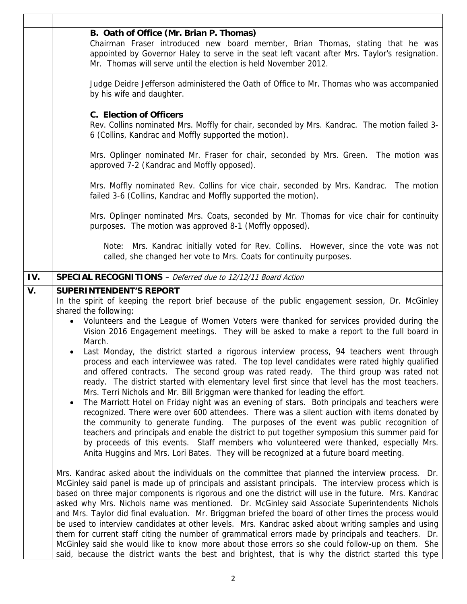|     | B. Oath of Office (Mr. Brian P. Thomas)<br>Chairman Fraser introduced new board member, Brian Thomas, stating that he was<br>appointed by Governor Haley to serve in the seat left vacant after Mrs. Taylor's resignation.<br>Mr. Thomas will serve until the election is held November 2012.                                                                                                                                                                                                                                                                                                                                                                                                                                                                                                                                                                                                                                                                                                                                                                                                                                                                                                                                                                                                                                                                                                                           |
|-----|-------------------------------------------------------------------------------------------------------------------------------------------------------------------------------------------------------------------------------------------------------------------------------------------------------------------------------------------------------------------------------------------------------------------------------------------------------------------------------------------------------------------------------------------------------------------------------------------------------------------------------------------------------------------------------------------------------------------------------------------------------------------------------------------------------------------------------------------------------------------------------------------------------------------------------------------------------------------------------------------------------------------------------------------------------------------------------------------------------------------------------------------------------------------------------------------------------------------------------------------------------------------------------------------------------------------------------------------------------------------------------------------------------------------------|
|     | Judge Deidre Jefferson administered the Oath of Office to Mr. Thomas who was accompanied<br>by his wife and daughter.                                                                                                                                                                                                                                                                                                                                                                                                                                                                                                                                                                                                                                                                                                                                                                                                                                                                                                                                                                                                                                                                                                                                                                                                                                                                                                   |
|     | <b>C. Election of Officers</b><br>Rev. Collins nominated Mrs. Moffly for chair, seconded by Mrs. Kandrac. The motion failed 3-<br>6 (Collins, Kandrac and Moffly supported the motion).                                                                                                                                                                                                                                                                                                                                                                                                                                                                                                                                                                                                                                                                                                                                                                                                                                                                                                                                                                                                                                                                                                                                                                                                                                 |
|     | Mrs. Oplinger nominated Mr. Fraser for chair, seconded by Mrs. Green. The motion was<br>approved 7-2 (Kandrac and Moffly opposed).                                                                                                                                                                                                                                                                                                                                                                                                                                                                                                                                                                                                                                                                                                                                                                                                                                                                                                                                                                                                                                                                                                                                                                                                                                                                                      |
|     | Mrs. Moffly nominated Rev. Collins for vice chair, seconded by Mrs. Kandrac. The motion<br>failed 3-6 (Collins, Kandrac and Moffly supported the motion).                                                                                                                                                                                                                                                                                                                                                                                                                                                                                                                                                                                                                                                                                                                                                                                                                                                                                                                                                                                                                                                                                                                                                                                                                                                               |
|     | Mrs. Oplinger nominated Mrs. Coats, seconded by Mr. Thomas for vice chair for continuity<br>purposes. The motion was approved 8-1 (Moffly opposed).                                                                                                                                                                                                                                                                                                                                                                                                                                                                                                                                                                                                                                                                                                                                                                                                                                                                                                                                                                                                                                                                                                                                                                                                                                                                     |
|     | Note: Mrs. Kandrac initially voted for Rev. Collins. However, since the vote was not<br>called, she changed her vote to Mrs. Coats for continuity purposes.                                                                                                                                                                                                                                                                                                                                                                                                                                                                                                                                                                                                                                                                                                                                                                                                                                                                                                                                                                                                                                                                                                                                                                                                                                                             |
| IV. | <b>SPECIAL RECOGNITIONS</b> - Deferred due to 12/12/11 Board Action                                                                                                                                                                                                                                                                                                                                                                                                                                                                                                                                                                                                                                                                                                                                                                                                                                                                                                                                                                                                                                                                                                                                                                                                                                                                                                                                                     |
| V.  | <b>SUPERINTENDENT'S REPORT</b><br>In the spirit of keeping the report brief because of the public engagement session, Dr. McGinley<br>shared the following:<br>Volunteers and the League of Women Voters were thanked for services provided during the<br>Vision 2016 Engagement meetings. They will be asked to make a report to the full board in<br>March.<br>Last Monday, the district started a rigorous interview process, 94 teachers went through<br>process and each interviewee was rated. The top level candidates were rated highly qualified<br>and offered contracts. The second group was rated ready. The third group was rated not<br>ready. The district started with elementary level first since that level has the most teachers.<br>Mrs. Terri Nichols and Mr. Bill Briggman were thanked for leading the effort.<br>The Marriott Hotel on Friday night was an evening of stars. Both principals and teachers were<br>recognized. There were over 600 attendees. There was a silent auction with items donated by<br>the community to generate funding. The purposes of the event was public recognition of<br>teachers and principals and enable the district to put together symposium this summer paid for<br>by proceeds of this events. Staff members who volunteered were thanked, especially Mrs.<br>Anita Huggins and Mrs. Lori Bates. They will be recognized at a future board meeting. |
|     | Mrs. Kandrac asked about the individuals on the committee that planned the interview process. Dr.<br>McGinley said panel is made up of principals and assistant principals. The interview process which is<br>based on three major components is rigorous and one the district will use in the future. Mrs. Kandrac<br>asked why Mrs. Nichols name was mentioned. Dr. McGinley said Associate Superintendents Nichols<br>and Mrs. Taylor did final evaluation. Mr. Briggman briefed the board of other times the process would<br>be used to interview candidates at other levels. Mrs. Kandrac asked about writing samples and using<br>them for current staff citing the number of grammatical errors made by principals and teachers. Dr.<br>McGinley said she would like to know more about those errors so she could follow-up on them. She<br>said, because the district wants the best and brightest, that is why the district started this type                                                                                                                                                                                                                                                                                                                                                                                                                                                                 |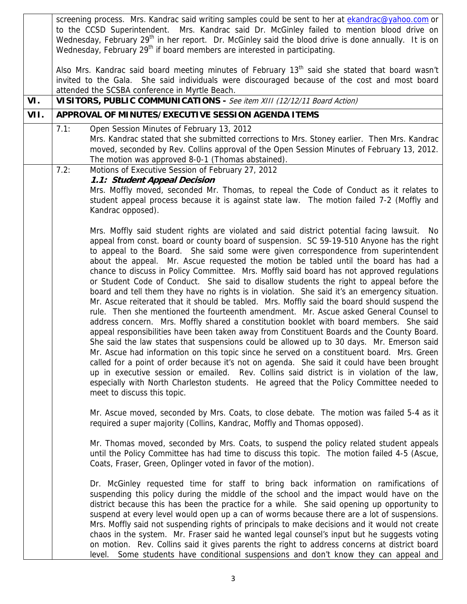|             | screening process. Mrs. Kandrac said writing samples could be sent to her at ekandrac@yahoo.com or<br>to the CCSD Superintendent. Mrs. Kandrac said Dr. McGinley failed to mention blood drive on<br>Wednesday, February 29 <sup>th</sup> in her report. Dr. McGinley said the blood drive is done annually. It is on<br>Wednesday, February 29 <sup>th</sup> if board members are interested in participating.                                                                                                                                                                                                                                                                                                                                                                                                                                                                                                                                                                                                                                                                                                                                                                                                                                                                                                                                                                                                                                                                                                                                                          |  |
|-------------|--------------------------------------------------------------------------------------------------------------------------------------------------------------------------------------------------------------------------------------------------------------------------------------------------------------------------------------------------------------------------------------------------------------------------------------------------------------------------------------------------------------------------------------------------------------------------------------------------------------------------------------------------------------------------------------------------------------------------------------------------------------------------------------------------------------------------------------------------------------------------------------------------------------------------------------------------------------------------------------------------------------------------------------------------------------------------------------------------------------------------------------------------------------------------------------------------------------------------------------------------------------------------------------------------------------------------------------------------------------------------------------------------------------------------------------------------------------------------------------------------------------------------------------------------------------------------|--|
|             | Also Mrs. Kandrac said board meeting minutes of February 13 <sup>th</sup> said she stated that board wasn't<br>invited to the Gala. She said individuals were discouraged because of the cost and most board<br>attended the SCSBA conference in Myrtle Beach.                                                                                                                                                                                                                                                                                                                                                                                                                                                                                                                                                                                                                                                                                                                                                                                                                                                                                                                                                                                                                                                                                                                                                                                                                                                                                                           |  |
| VI.<br>VII. | VISITORS, PUBLIC COMMUNICATIONS - See item XIII (12/12/11 Board Action)<br>APPROVAL OF MINUTES/EXECUTIVE SESSION AGENDA ITEMS                                                                                                                                                                                                                                                                                                                                                                                                                                                                                                                                                                                                                                                                                                                                                                                                                                                                                                                                                                                                                                                                                                                                                                                                                                                                                                                                                                                                                                            |  |
|             | 7.1:<br>Open Session Minutes of February 13, 2012                                                                                                                                                                                                                                                                                                                                                                                                                                                                                                                                                                                                                                                                                                                                                                                                                                                                                                                                                                                                                                                                                                                                                                                                                                                                                                                                                                                                                                                                                                                        |  |
|             | Mrs. Kandrac stated that she submitted corrections to Mrs. Stoney earlier. Then Mrs. Kandrac<br>moved, seconded by Rev. Collins approval of the Open Session Minutes of February 13, 2012.<br>The motion was approved 8-0-1 (Thomas abstained).                                                                                                                                                                                                                                                                                                                                                                                                                                                                                                                                                                                                                                                                                                                                                                                                                                                                                                                                                                                                                                                                                                                                                                                                                                                                                                                          |  |
|             | 7.2:<br>Motions of Executive Session of February 27, 2012                                                                                                                                                                                                                                                                                                                                                                                                                                                                                                                                                                                                                                                                                                                                                                                                                                                                                                                                                                                                                                                                                                                                                                                                                                                                                                                                                                                                                                                                                                                |  |
|             | 1.1: Student Appeal Decision<br>Mrs. Moffly moved, seconded Mr. Thomas, to repeal the Code of Conduct as it relates to<br>student appeal process because it is against state law. The motion failed 7-2 (Moffly and<br>Kandrac opposed).                                                                                                                                                                                                                                                                                                                                                                                                                                                                                                                                                                                                                                                                                                                                                                                                                                                                                                                                                                                                                                                                                                                                                                                                                                                                                                                                 |  |
|             | Mrs. Moffly said student rights are violated and said district potential facing lawsuit. No<br>appeal from const. board or county board of suspension. SC 59-19-510 Anyone has the right<br>to appeal to the Board. She said some were given correspondence from superintendent<br>about the appeal. Mr. Ascue requested the motion be tabled until the board has had a<br>chance to discuss in Policy Committee. Mrs. Moffly said board has not approved regulations<br>or Student Code of Conduct. She said to disallow students the right to appeal before the<br>board and tell them they have no rights is in violation. She said it's an emergency situation.<br>Mr. Ascue reiterated that it should be tabled. Mrs. Moffly said the board should suspend the<br>rule. Then she mentioned the fourteenth amendment. Mr. Ascue asked General Counsel to<br>address concern. Mrs. Moffly shared a constitution booklet with board members. She said<br>appeal responsibilities have been taken away from Constituent Boards and the County Board.<br>She said the law states that suspensions could be allowed up to 30 days. Mr. Emerson said<br>Mr. Ascue had information on this topic since he served on a constituent board. Mrs. Green<br>called for a point of order because it's not on agenda. She said it could have been brought<br>up in executive session or emailed. Rev. Collins said district is in violation of the law,<br>especially with North Charleston students. He agreed that the Policy Committee needed to<br>meet to discuss this topic. |  |
|             | Mr. Ascue moved, seconded by Mrs. Coats, to close debate. The motion was failed 5-4 as it<br>required a super majority (Collins, Kandrac, Moffly and Thomas opposed).                                                                                                                                                                                                                                                                                                                                                                                                                                                                                                                                                                                                                                                                                                                                                                                                                                                                                                                                                                                                                                                                                                                                                                                                                                                                                                                                                                                                    |  |
|             | Mr. Thomas moved, seconded by Mrs. Coats, to suspend the policy related student appeals<br>until the Policy Committee has had time to discuss this topic. The motion failed 4-5 (Ascue,<br>Coats, Fraser, Green, Oplinger voted in favor of the motion).                                                                                                                                                                                                                                                                                                                                                                                                                                                                                                                                                                                                                                                                                                                                                                                                                                                                                                                                                                                                                                                                                                                                                                                                                                                                                                                 |  |
|             | Dr. McGinley requested time for staff to bring back information on ramifications of<br>suspending this policy during the middle of the school and the impact would have on the<br>district because this has been the practice for a while. She said opening up opportunity to<br>suspend at every level would open up a can of worms because there are a lot of suspensions.<br>Mrs. Moffly said not suspending rights of principals to make decisions and it would not create<br>chaos in the system. Mr. Fraser said he wanted legal counsel's input but he suggests voting<br>on motion. Rev. Collins said it gives parents the right to address concerns at district board<br>level. Some students have conditional suspensions and don't know they can appeal and                                                                                                                                                                                                                                                                                                                                                                                                                                                                                                                                                                                                                                                                                                                                                                                                   |  |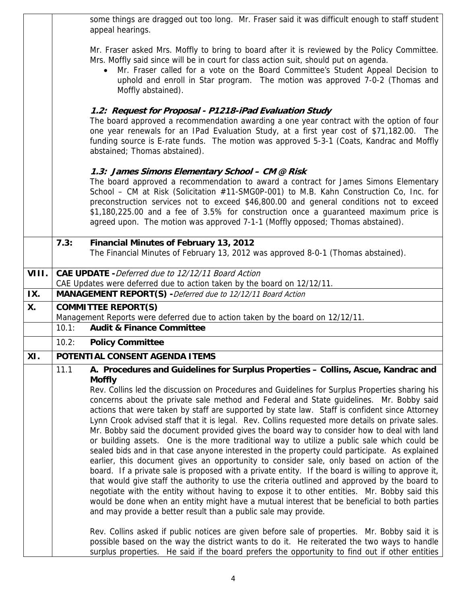|       |                                                                                                                                         | some things are dragged out too long. Mr. Fraser said it was difficult enough to staff student<br>appeal hearings.                                                                                                                                                                                                                                                                                                                                                                                                                                                                                                                                                                                                                                                                                                                                                                                                                                                                                                                                                                                                                                                                                                                                                                                                                                                                                                                                                                       |
|-------|-----------------------------------------------------------------------------------------------------------------------------------------|------------------------------------------------------------------------------------------------------------------------------------------------------------------------------------------------------------------------------------------------------------------------------------------------------------------------------------------------------------------------------------------------------------------------------------------------------------------------------------------------------------------------------------------------------------------------------------------------------------------------------------------------------------------------------------------------------------------------------------------------------------------------------------------------------------------------------------------------------------------------------------------------------------------------------------------------------------------------------------------------------------------------------------------------------------------------------------------------------------------------------------------------------------------------------------------------------------------------------------------------------------------------------------------------------------------------------------------------------------------------------------------------------------------------------------------------------------------------------------------|
|       |                                                                                                                                         | Mr. Fraser asked Mrs. Moffly to bring to board after it is reviewed by the Policy Committee.<br>Mrs. Moffly said since will be in court for class action suit, should put on agenda.<br>Mr. Fraser called for a vote on the Board Committee's Student Appeal Decision to<br>uphold and enroll in Star program. The motion was approved 7-0-2 (Thomas and<br>Moffly abstained).                                                                                                                                                                                                                                                                                                                                                                                                                                                                                                                                                                                                                                                                                                                                                                                                                                                                                                                                                                                                                                                                                                           |
|       |                                                                                                                                         | 1.2: Request for Proposal - P1218-iPad Evaluation Study<br>The board approved a recommendation awarding a one year contract with the option of four<br>one year renewals for an IPad Evaluation Study, at a first year cost of \$71,182.00. The<br>funding source is E-rate funds. The motion was approved 5-3-1 (Coats, Kandrac and Moffly<br>abstained; Thomas abstained).                                                                                                                                                                                                                                                                                                                                                                                                                                                                                                                                                                                                                                                                                                                                                                                                                                                                                                                                                                                                                                                                                                             |
|       |                                                                                                                                         | 1.3: James Simons Elementary School - CM @ Risk<br>The board approved a recommendation to award a contract for James Simons Elementary<br>School - CM at Risk (Solicitation #11-SMGOP-001) to M.B. Kahn Construction Co, Inc. for<br>preconstruction services not to exceed \$46,800.00 and general conditions not to exceed<br>\$1,180,225.00 and a fee of 3.5% for construction once a guaranteed maximum price is<br>agreed upon. The motion was approved 7-1-1 (Moffly opposed; Thomas abstained).                                                                                                                                                                                                                                                                                                                                                                                                                                                                                                                                                                                                                                                                                                                                                                                                                                                                                                                                                                                   |
|       | 7.3:                                                                                                                                    | Financial Minutes of February 13, 2012<br>The Financial Minutes of February 13, 2012 was approved 8-0-1 (Thomas abstained).                                                                                                                                                                                                                                                                                                                                                                                                                                                                                                                                                                                                                                                                                                                                                                                                                                                                                                                                                                                                                                                                                                                                                                                                                                                                                                                                                              |
| VIII. |                                                                                                                                         | <b>CAE UPDATE</b> - Deferred due to 12/12/11 Board Action                                                                                                                                                                                                                                                                                                                                                                                                                                                                                                                                                                                                                                                                                                                                                                                                                                                                                                                                                                                                                                                                                                                                                                                                                                                                                                                                                                                                                                |
| IX.   | CAE Updates were deferred due to action taken by the board on 12/12/11.<br>MANAGEMENT REPORT(S) - Deferred due to 12/12/11 Board Action |                                                                                                                                                                                                                                                                                                                                                                                                                                                                                                                                                                                                                                                                                                                                                                                                                                                                                                                                                                                                                                                                                                                                                                                                                                                                                                                                                                                                                                                                                          |
| Χ.    |                                                                                                                                         | <b>COMMITTEE REPORT(S)</b>                                                                                                                                                                                                                                                                                                                                                                                                                                                                                                                                                                                                                                                                                                                                                                                                                                                                                                                                                                                                                                                                                                                                                                                                                                                                                                                                                                                                                                                               |
|       |                                                                                                                                         | Management Reports were deferred due to action taken by the board on 12/12/11.                                                                                                                                                                                                                                                                                                                                                                                                                                                                                                                                                                                                                                                                                                                                                                                                                                                                                                                                                                                                                                                                                                                                                                                                                                                                                                                                                                                                           |
|       | 10.1:                                                                                                                                   | <b>Audit &amp; Finance Committee</b>                                                                                                                                                                                                                                                                                                                                                                                                                                                                                                                                                                                                                                                                                                                                                                                                                                                                                                                                                                                                                                                                                                                                                                                                                                                                                                                                                                                                                                                     |
|       | 10.2:                                                                                                                                   | <b>Policy Committee</b>                                                                                                                                                                                                                                                                                                                                                                                                                                                                                                                                                                                                                                                                                                                                                                                                                                                                                                                                                                                                                                                                                                                                                                                                                                                                                                                                                                                                                                                                  |
| XI.   |                                                                                                                                         | POTENTIAL CONSENT AGENDA ITEMS                                                                                                                                                                                                                                                                                                                                                                                                                                                                                                                                                                                                                                                                                                                                                                                                                                                                                                                                                                                                                                                                                                                                                                                                                                                                                                                                                                                                                                                           |
|       | 11.1                                                                                                                                    | A. Procedures and Guidelines for Surplus Properties - Collins, Ascue, Kandrac and                                                                                                                                                                                                                                                                                                                                                                                                                                                                                                                                                                                                                                                                                                                                                                                                                                                                                                                                                                                                                                                                                                                                                                                                                                                                                                                                                                                                        |
|       |                                                                                                                                         | <b>Moffly</b><br>Rev. Collins led the discussion on Procedures and Guidelines for Surplus Properties sharing his<br>concerns about the private sale method and Federal and State guidelines. Mr. Bobby said<br>actions that were taken by staff are supported by state law. Staff is confident since Attorney<br>Lynn Crook advised staff that it is legal. Rev. Collins requested more details on private sales.<br>Mr. Bobby said the document provided gives the board way to consider how to deal with land<br>or building assets. One is the more traditional way to utilize a public sale which could be<br>sealed bids and in that case anyone interested in the property could participate. As explained<br>earlier, this document gives an opportunity to consider sale, only based on action of the<br>board. If a private sale is proposed with a private entity. If the board is willing to approve it,<br>that would give staff the authority to use the criteria outlined and approved by the board to<br>negotiate with the entity without having to expose it to other entities. Mr. Bobby said this<br>would be done when an entity might have a mutual interest that be beneficial to both parties<br>and may provide a better result than a public sale may provide.<br>Rev. Collins asked if public notices are given before sale of properties. Mr. Bobby said it is<br>possible based on the way the district wants to do it. He reiterated the two ways to handle |
|       |                                                                                                                                         | surplus properties. He said if the board prefers the opportunity to find out if other entities                                                                                                                                                                                                                                                                                                                                                                                                                                                                                                                                                                                                                                                                                                                                                                                                                                                                                                                                                                                                                                                                                                                                                                                                                                                                                                                                                                                           |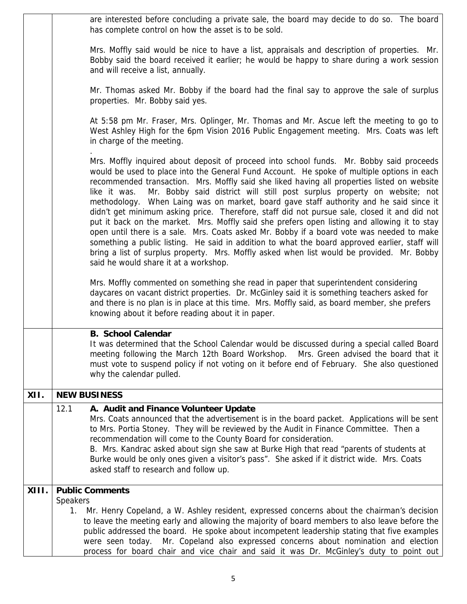|       | are interested before concluding a private sale, the board may decide to do so. The board<br>has complete control on how the asset is to be sold.                                                                                                                                                                                                                                                                                                                                                                                                                                                                                                                                                                                                                                                                                                                                                                                                                                                                 |
|-------|-------------------------------------------------------------------------------------------------------------------------------------------------------------------------------------------------------------------------------------------------------------------------------------------------------------------------------------------------------------------------------------------------------------------------------------------------------------------------------------------------------------------------------------------------------------------------------------------------------------------------------------------------------------------------------------------------------------------------------------------------------------------------------------------------------------------------------------------------------------------------------------------------------------------------------------------------------------------------------------------------------------------|
|       | Mrs. Moffly said would be nice to have a list, appraisals and description of properties. Mr.<br>Bobby said the board received it earlier; he would be happy to share during a work session<br>and will receive a list, annually.                                                                                                                                                                                                                                                                                                                                                                                                                                                                                                                                                                                                                                                                                                                                                                                  |
|       | Mr. Thomas asked Mr. Bobby if the board had the final say to approve the sale of surplus<br>properties. Mr. Bobby said yes.                                                                                                                                                                                                                                                                                                                                                                                                                                                                                                                                                                                                                                                                                                                                                                                                                                                                                       |
|       | At 5:58 pm Mr. Fraser, Mrs. Oplinger, Mr. Thomas and Mr. Ascue left the meeting to go to<br>West Ashley High for the 6pm Vision 2016 Public Engagement meeting. Mrs. Coats was left<br>in charge of the meeting.                                                                                                                                                                                                                                                                                                                                                                                                                                                                                                                                                                                                                                                                                                                                                                                                  |
|       | Mrs. Moffly inquired about deposit of proceed into school funds. Mr. Bobby said proceeds<br>would be used to place into the General Fund Account. He spoke of multiple options in each<br>recommended transaction. Mrs. Moffly said she liked having all properties listed on website<br>Mr. Bobby said district will still post surplus property on website; not<br>like it was.<br>methodology. When Laing was on market, board gave staff authority and he said since it<br>didn't get minimum asking price. Therefore, staff did not pursue sale, closed it and did not<br>put it back on the market. Mrs. Moffly said she prefers open listing and allowing it to stay<br>open until there is a sale. Mrs. Coats asked Mr. Bobby if a board vote was needed to make<br>something a public listing. He said in addition to what the board approved earlier, staff will<br>bring a list of surplus property. Mrs. Moffly asked when list would be provided. Mr. Bobby<br>said he would share it at a workshop. |
|       | Mrs. Moffly commented on something she read in paper that superintendent considering<br>daycares on vacant district properties. Dr. McGinley said it is something teachers asked for<br>and there is no plan is in place at this time. Mrs. Moffly said, as board member, she prefers<br>knowing about it before reading about it in paper.                                                                                                                                                                                                                                                                                                                                                                                                                                                                                                                                                                                                                                                                       |
|       | <b>B. School Calendar</b><br>It was determined that the School Calendar would be discussed during a special called Board<br>meeting following the March 12th Board Workshop. Mrs. Green advised the board that it<br>must vote to suspend policy if not voting on it before end of February. She also questioned<br>why the calendar pulled.                                                                                                                                                                                                                                                                                                                                                                                                                                                                                                                                                                                                                                                                      |
| XII.  | <b>NEW BUSINESS</b>                                                                                                                                                                                                                                                                                                                                                                                                                                                                                                                                                                                                                                                                                                                                                                                                                                                                                                                                                                                               |
|       | 12.1<br>A. Audit and Finance Volunteer Update<br>Mrs. Coats announced that the advertisement is in the board packet. Applications will be sent<br>to Mrs. Portia Stoney. They will be reviewed by the Audit in Finance Committee. Then a<br>recommendation will come to the County Board for consideration.<br>B. Mrs. Kandrac asked about sign she saw at Burke High that read "parents of students at<br>Burke would be only ones given a visitor's pass". She asked if it district wide. Mrs. Coats<br>asked staff to research and follow up.                                                                                                                                                                                                                                                                                                                                                                                                                                                                  |
| XIII. | <b>Public Comments</b><br><b>Speakers</b><br>Mr. Henry Copeland, a W. Ashley resident, expressed concerns about the chairman's decision<br>1.<br>to leave the meeting early and allowing the majority of board members to also leave before the<br>public addressed the board. He spoke about incompetent leadership stating that five examples<br>Mr. Copeland also expressed concerns about nomination and election<br>were seen today.<br>process for board chair and vice chair and said it was Dr. McGinley's duty to point out                                                                                                                                                                                                                                                                                                                                                                                                                                                                              |